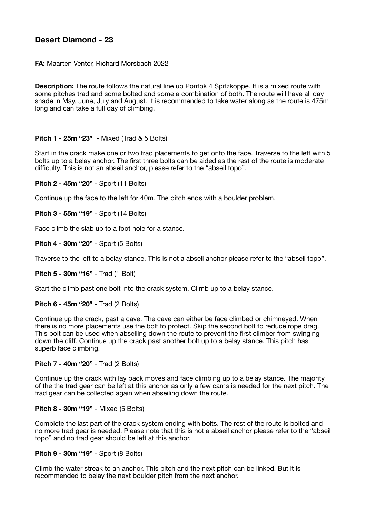# **Desert Diamond - 23**

**FA:** Maarten Venter, Richard Morsbach 2022

**Description:** The route follows the natural line up Pontok 4 Spitzkoppe. It is a mixed route with some pitches trad and some bolted and some a combination of both. The route will have all day shade in May, June, July and August. It is recommended to take water along as the route is 475m long and can take a full day of climbing.

## **Pitch 1 - 25m "23"** - Mixed (Trad & 5 Bolts)

Start in the crack make one or two trad placements to get onto the face. Traverse to the left with 5 bolts up to a belay anchor. The first three bolts can be aided as the rest of the route is moderate difficulty. This is not an abseil anchor, please refer to the "abseil topo".

**Pitch 2 - 45m "20"** - Sport (11 Bolts)

Continue up the face to the left for 40m. The pitch ends with a boulder problem.

**Pitch 3 - 55m "19"** - Sport (14 Bolts)

Face climb the slab up to a foot hole for a stance.

**Pitch 4 - 30m "20"** - Sport (5 Bolts)

Traverse to the left to a belay stance. This is not a abseil anchor please refer to the "abseil topo".

**Pitch 5 - 30m "16"** - Trad (1 Bolt)

Start the climb past one bolt into the crack system. Climb up to a belay stance.

**Pitch 6 - 45m "20"** - Trad (2 Bolts)

Continue up the crack, past a cave. The cave can either be face climbed or chimneyed. When there is no more placements use the bolt to protect. Skip the second bolt to reduce rope drag. This bolt can be used when abseiling down the route to prevent the first climber from swinging down the cliff. Continue up the crack past another bolt up to a belay stance. This pitch has superb face climbing.

#### **Pitch 7 - 40m "20"** - Trad (2 Bolts)

Continue up the crack with lay back moves and face climbing up to a belay stance. The majority of the the trad gear can be left at this anchor as only a few cams is needed for the next pitch. The trad gear can be collected again when abseiling down the route.

### **Pitch 8 - 30m "19"** - Mixed (5 Bolts)

Complete the last part of the crack system ending with bolts. The rest of the route is bolted and no more trad gear is needed. Please note that this is not a abseil anchor please refer to the "abseil topo" and no trad gear should be left at this anchor.

## **Pitch 9 - 30m "19"** - Sport (8 Bolts)

Climb the water streak to an anchor. This pitch and the next pitch can be linked. But it is recommended to belay the next boulder pitch from the next anchor.